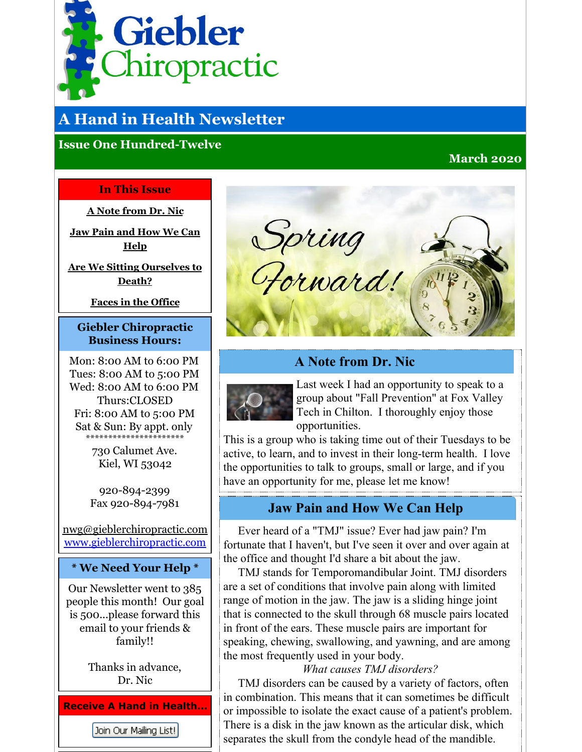<span id="page-0-0"></span>

# **A Hand in Health Newsletter**

### **Issue One Hundred-Twelve**

### **March 2020**

#### **In This Issue**

**A Note [from](#page-0-0) Dr. Nic**

**Jaw Pain and [How](#page-0-0) We Can Help**

**Are We Sitting [Ourselves](#page-0-0) to Death?**

**Faces in the [Office](#page-0-0)**

#### **Giebler Chiropractic Business Hours:**

Mon: 8:00 AM to 6:00 PM Tues: 8:00 AM to 5:00 PM Wed: 8:00 AM to 6:00 PM Thurs:CLOSED Fri: 8:00 AM to 5:00 PM Sat & Sun: By appt. only \*\*\*\*\*\*\*\*\*\*\*\*\*\*\*\*\*\*\*\*\*\*

> 730 Calumet Ave. Kiel, WI 53042

920-894-2399 Fax 920-894-7981

nwg@gieblerchiropractic.com [www.gieblerchiropractic.com](http://www.gieblerchiropractic.com)

### **\* We Need Your Help \***

Our Newsletter went to 385 people this month! Our goal is 500...please forward this email to your friends & family!!

> Thanks in advance, Dr. Nic

**Receive A Hand in Health...**

Join Our Mailing List!



### **A Note from Dr. Nic**



Last week I had an opportunity to speak to a group about "Fall Prevention" at Fox Valley Tech in Chilton. I thoroughly enjoy those opportunities.

This is a group who is taking time out of their Tuesdays to be active, to learn, and to invest in their long-term health. I love the opportunities to talk to groups, small or large, and if you have an opportunity for me, please let me know!

# **Jaw Pain and How We Can Help**

Ever heard of a "TMJ" issue? Ever had jaw pain? I'm fortunate that I haven't, but I've seen it over and over again at the office and thought I'd share a bit about the jaw.

TMJ stands for Temporomandibular Joint. TMJ disorders are a set of conditions that involve pain along with limited range of motion in the jaw. The jaw is a sliding hinge joint that is connected to the skull through 68 muscle pairs located in front of the ears. These muscle pairs are important for speaking, chewing, swallowing, and yawning, and are among the most frequently used in your body.

*What causes TMJ disorders?*

TMJ disorders can be caused by a variety of factors, often in combination. This means that it can sometimes be difficult or impossible to isolate the exact cause of a patient's problem. There is a disk in the jaw known as the articular disk, which separates the skull from the condyle head of the mandible.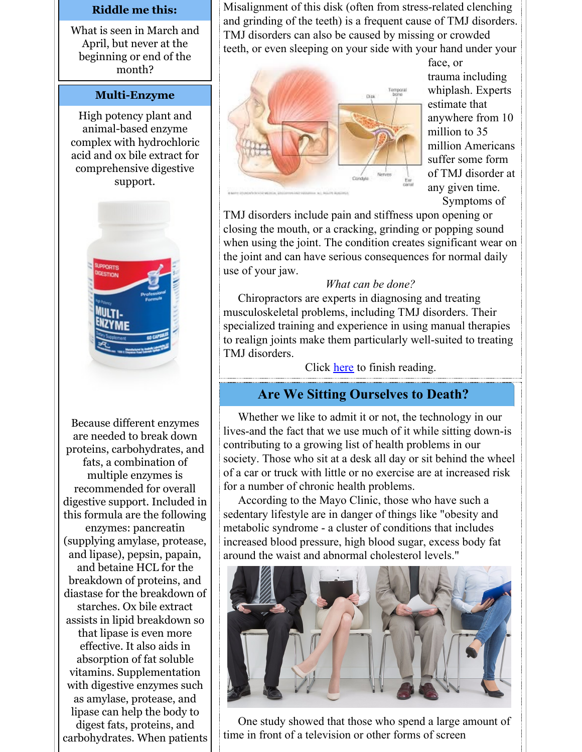#### **Riddle me this:**

What is seen in March and April, but never at the beginning or end of the month?

#### **Multi-Enzyme**

High potency plant and animal-based enzyme complex with hydrochloric acid and ox bile extract for comprehensive digestive support.



Because different enzymes are needed to break down proteins, carbohydrates, and fats, a combination of multiple enzymes is recommended for overall digestive support. Included in this formula are the following enzymes: pancreatin (supplying amylase, protease, and lipase), pepsin, papain, and betaine HCL for the breakdown of proteins, and diastase for the breakdown of starches. Ox bile extract assists in lipid breakdown so that lipase is even more effective. It also aids in absorption of fat soluble vitamins. Supplementation with digestive enzymes such as amylase, protease, and lipase can help the body to digest fats, proteins, and carbohydrates. When patients Misalignment of this disk (often from stress-related clenching and grinding of the teeth) is a frequent cause of TMJ disorders. TMJ disorders can also be caused by missing or crowded teeth, or even sleeping on your side with your hand under your



face, or trauma including whiplash. Experts estimate that anywhere from 10 million to 35 million Americans suffer some form of TMJ disorder at any given time. Symptoms of

TMJ disorders include pain and stiffness upon opening or closing the mouth, or a cracking, grinding or popping sound when using the joint. The condition creates significant wear on the joint and can have serious consequences for normal daily use of your jaw.

#### *What can be done?*

Chiropractors are experts in diagnosing and treating musculoskeletal problems, including TMJ disorders. Their specialized training and experience in using manual therapies to realign joints make them particularly well-suited to treating TMJ disorders.

Click [here](https://gieblerchiropractic.blogspot.com/2020/02/jaw-pain-and-how-we-can-help.html) to finish reading.

# **Are We Sitting Ourselves to Death?**

Whether we like to admit it or not, the technology in our lives-and the fact that we use much of it while sitting down-is contributing to a growing list of health problems in our society. Those who sit at a desk all day or sit behind the wheel of a car or truck with little or no exercise are at increased risk for a number of chronic health problems.

According to the Mayo Clinic, those who have such a sedentary lifestyle are in danger of things like "obesity and metabolic syndrome - a cluster of conditions that includes increased blood pressure, high blood sugar, excess body fat around the waist and abnormal cholesterol levels."



One study showed that those who spend a large amount of time in front of a television or other forms of screen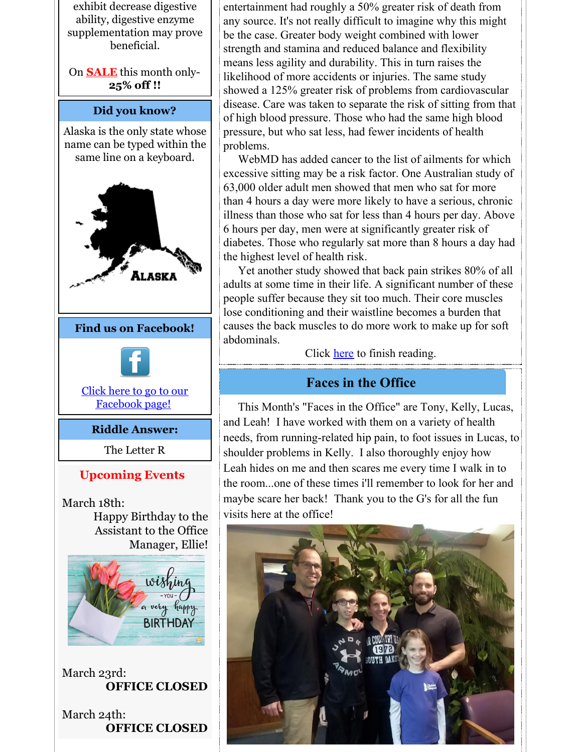exhibit decrease digestive ability, digestive enzyme supplementation may prove beneficial.

On **SALE** this month only-**25% off !!**

#### **Did you know?**

Alaska is the only state whose name can be typed within the same line on a keyboard.



# **Upcoming Events**

March 18th: Happy Birthday to the Assistant to the Office Manager, Ellie!



March 23rd: **OFFICE CLOSED**

March 24th: **OFFICE CLOSED** entertainment had roughly a 50% greater risk of death from any source. It's not really difficult to imagine why this might be the case. Greater body weight combined with lower strength and stamina and reduced balance and flexibility means less agility and durability. This in turn raises the likelihood of more accidents or injuries. The same study showed a 125% greater risk of problems from cardiovascular disease. Care was taken to separate the risk of sitting from that of high blood pressure. Those who had the same high blood pressure, but who sat less, had fewer incidents of health problems.

WebMD has added cancer to the list of ailments for which excessive sitting may be a risk factor. One Australian study of 63,000 older adult men showed that men who sat for more than 4 hours a day were more likely to have a serious, chronic illness than those who sat for less than 4 hours per day. Above 6 hours per day, men were at significantly greater risk of diabetes. Those who regularly sat more than 8 hours a day had the highest level of health risk.

Yet another study showed that back pain strikes 80% of all adults at some time in their life. A significant number of these people suffer because they sit too much. Their core muscles lose conditioning and their waistline becomes a burden that causes the back muscles to do more work to make up for soft abdominals.

Click [here](https://gieblerchiropractic.blogspot.com/2020/02/are-we-sitting-ourselves-to-death.html) to finish reading.

# **Faces in the Office**

This Month's "Faces in the Office" are Tony, Kelly, Lucas, and Leah! I have worked with them on a variety of health needs, from running-related hip pain, to foot issues in Lucas, to shoulder problems in Kelly. I also thoroughly enjoy how Leah hides on me and then scares me every time I walk in to the room...one of these times i'll remember to look for her and maybe scare her back! Thank you to the G's for all the fun visits here at the office!